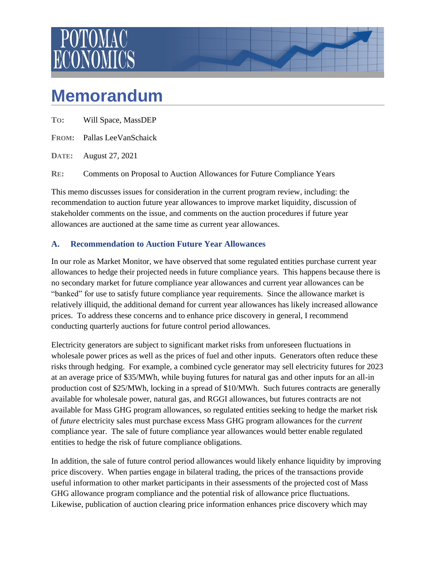

## **Memorandum**

**FROM:** Pallas LeeVanSchaick

**DATE:** August 27, 2021

**RE:** Comments on Proposal to Auction Allowances for Future Compliance Years

This memo discusses issues for consideration in the current program review, including: the recommendation to auction future year allowances to improve market liquidity, discussion of stakeholder comments on the issue, and comments on the auction procedures if future year allowances are auctioned at the same time as current year allowances.

## **A. Recommendation to Auction Future Year Allowances**

In our role as Market Monitor, we have observed that some regulated entities purchase current year allowances to hedge their projected needs in future compliance years. This happens because there is no secondary market for future compliance year allowances and current year allowances can be "banked" for use to satisfy future compliance year requirements. Since the allowance market is relatively illiquid, the additional demand for current year allowances has likely increased allowance prices. To address these concerns and to enhance price discovery in general, I recommend conducting quarterly auctions for future control period allowances.

Electricity generators are subject to significant market risks from unforeseen fluctuations in wholesale power prices as well as the prices of fuel and other inputs. Generators often reduce these risks through hedging. For example, a combined cycle generator may sell electricity futures for 2023 at an average price of \$35/MWh, while buying futures for natural gas and other inputs for an all-in production cost of \$25/MWh, locking in a spread of \$10/MWh. Such futures contracts are generally available for wholesale power, natural gas, and RGGI allowances, but futures contracts are not available for Mass GHG program allowances, so regulated entities seeking to hedge the market risk of *future* electricity sales must purchase excess Mass GHG program allowances for the *current* compliance year. The sale of future compliance year allowances would better enable regulated entities to hedge the risk of future compliance obligations.

In addition, the sale of future control period allowances would likely enhance liquidity by improving price discovery. When parties engage in bilateral trading, the prices of the transactions provide useful information to other market participants in their assessments of the projected cost of Mass GHG allowance program compliance and the potential risk of allowance price fluctuations. Likewise, publication of auction clearing price information enhances price discovery which may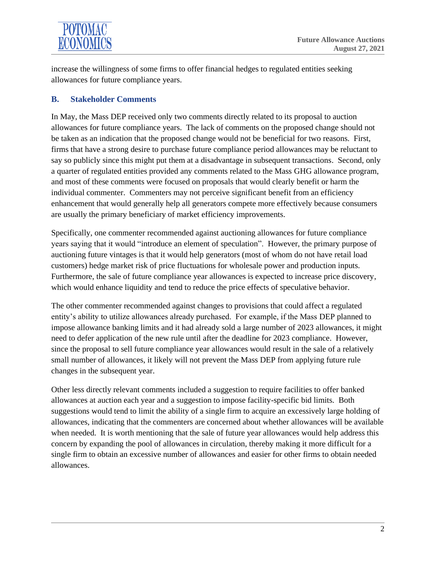

increase the willingness of some firms to offer financial hedges to regulated entities seeking allowances for future compliance years.

## **B. Stakeholder Comments**

In May, the Mass DEP received only two comments directly related to its proposal to auction allowances for future compliance years. The lack of comments on the proposed change should not be taken as an indication that the proposed change would not be beneficial for two reasons. First, firms that have a strong desire to purchase future compliance period allowances may be reluctant to say so publicly since this might put them at a disadvantage in subsequent transactions. Second, only a quarter of regulated entities provided any comments related to the Mass GHG allowance program, and most of these comments were focused on proposals that would clearly benefit or harm the individual commenter. Commenters may not perceive significant benefit from an efficiency enhancement that would generally help all generators compete more effectively because consumers are usually the primary beneficiary of market efficiency improvements.

Specifically, one commenter recommended against auctioning allowances for future compliance years saying that it would "introduce an element of speculation". However, the primary purpose of auctioning future vintages is that it would help generators (most of whom do not have retail load customers) hedge market risk of price fluctuations for wholesale power and production inputs. Furthermore, the sale of future compliance year allowances is expected to increase price discovery, which would enhance liquidity and tend to reduce the price effects of speculative behavior.

The other commenter recommended against changes to provisions that could affect a regulated entity's ability to utilize allowances already purchased. For example, if the Mass DEP planned to impose allowance banking limits and it had already sold a large number of 2023 allowances, it might need to defer application of the new rule until after the deadline for 2023 compliance. However, since the proposal to sell future compliance year allowances would result in the sale of a relatively small number of allowances, it likely will not prevent the Mass DEP from applying future rule changes in the subsequent year.

Other less directly relevant comments included a suggestion to require facilities to offer banked allowances at auction each year and a suggestion to impose facility-specific bid limits. Both suggestions would tend to limit the ability of a single firm to acquire an excessively large holding of allowances, indicating that the commenters are concerned about whether allowances will be available when needed. It is worth mentioning that the sale of future year allowances would help address this concern by expanding the pool of allowances in circulation, thereby making it more difficult for a single firm to obtain an excessive number of allowances and easier for other firms to obtain needed allowances.